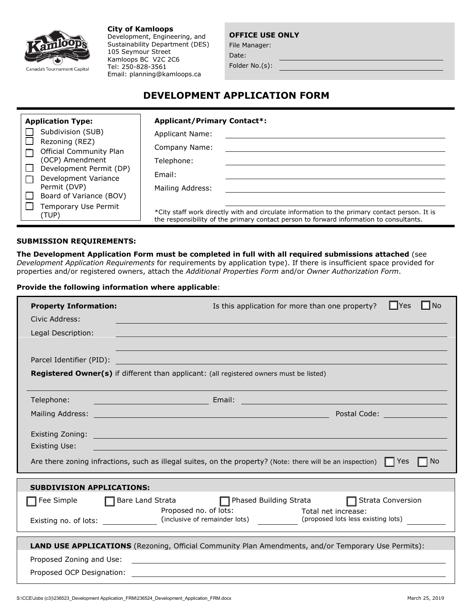

**City of Kamloops** Development, Engineering, and Sustainability Department (DES) 105 Seymour Street Kamloops BC V2C 2C6 Tel: 250-828-3561 Email: planning@kamloops.ca

**OFFICE USE ONLY**

File Manager: Date:

Folder No.(s):

# **DEVELOPMENT APPLICATION FORM**

| <b>Application Type:</b>                                                                                                                                                                  | <b>Applicant/Primary Contact*:</b>                                                                                                                                                       |  |  |  |  |  |  |
|-------------------------------------------------------------------------------------------------------------------------------------------------------------------------------------------|------------------------------------------------------------------------------------------------------------------------------------------------------------------------------------------|--|--|--|--|--|--|
| Subdivision (SUB)                                                                                                                                                                         | Applicant Name:                                                                                                                                                                          |  |  |  |  |  |  |
| Rezoning (REZ)<br><b>Official Community Plan</b><br>(OCP) Amendment<br>Development Permit (DP)<br>Development Variance<br>Permit (DVP)<br>Board of Variance (BOV)<br>Temporary Use Permit | Company Name:                                                                                                                                                                            |  |  |  |  |  |  |
|                                                                                                                                                                                           | Telephone:                                                                                                                                                                               |  |  |  |  |  |  |
|                                                                                                                                                                                           | Email:                                                                                                                                                                                   |  |  |  |  |  |  |
|                                                                                                                                                                                           | Mailing Address:                                                                                                                                                                         |  |  |  |  |  |  |
|                                                                                                                                                                                           |                                                                                                                                                                                          |  |  |  |  |  |  |
| (TUP)                                                                                                                                                                                     | *City staff work directly with and circulate information to the primary contact person. It is<br>the responsibility of the primary contact person to forward information to consultants. |  |  |  |  |  |  |

#### **SUBMISSION REQUIREMENTS:**

**The Development Application Form must be completed in full with all required submissions attached** (see *Development Application Requirements* for requirements by application type). If there is insufficient space provided for properties and/or registered owners, attach the *Additional Properties Form* and/or *Owner Authorization Form*.

## **Provide the following information where applicable**:

| <b>Property Information:</b>                                                            | l No<br>l IYes<br>Is this application for more than one property?                                                                                                                                                              |
|-----------------------------------------------------------------------------------------|--------------------------------------------------------------------------------------------------------------------------------------------------------------------------------------------------------------------------------|
| Civic Address:                                                                          |                                                                                                                                                                                                                                |
| Legal Description:                                                                      |                                                                                                                                                                                                                                |
|                                                                                         |                                                                                                                                                                                                                                |
| Parcel Identifier (PID):                                                                | <u> 1980 - Johann John Stone, markin film yn y brening yn y brening yn y brening yn y brening yn y brening yn y</u>                                                                                                            |
| Registered Owner(s) if different than applicant: (all registered owners must be listed) |                                                                                                                                                                                                                                |
|                                                                                         |                                                                                                                                                                                                                                |
| Telephone:                                                                              |                                                                                                                                                                                                                                |
| Mailing Address:                                                                        | Postal Code: The Control of the Control<br><u> 1989 - Johann Stein, marwolaethau (b. 1989)</u>                                                                                                                                 |
|                                                                                         |                                                                                                                                                                                                                                |
|                                                                                         | Existing Zoning: New York State State State State State State State State State State State State State State State State State State State State State State State State State State State State State State State State Stat |
| Existing Use:                                                                           |                                                                                                                                                                                                                                |
|                                                                                         | $\blacksquare$ $\blacksquare$ $\blacksquare$<br>Are there zoning infractions, such as illegal suites, on the property? (Note: there will be an inspection) $\Box$ Yes                                                          |
| <b>SUBDIVISION APPLICATIONS:</b>                                                        |                                                                                                                                                                                                                                |
| Fee Simple <b>Sumple Compare</b> Bare Land Strata                                       | □ Phased Building Strata<br>□ Strata Conversion                                                                                                                                                                                |
|                                                                                         | Proposed no. of lots: Total net increase:                                                                                                                                                                                      |
|                                                                                         | Existing no. of lots: _________________(inclusive of remainder lots) (proposed lots less existing lots)                                                                                                                        |
|                                                                                         |                                                                                                                                                                                                                                |
|                                                                                         | LAND USE APPLICATIONS (Rezoning, Official Community Plan Amendments, and/or Temporary Use Permits):                                                                                                                            |
| Proposed Zoning and Use:                                                                | <u> 1989 - Andrea Stadt Britain, amerikansk politik (d. 1989)</u>                                                                                                                                                              |
| Proposed OCP Designation:                                                               | <u> 1989 - John Stein, Amerikaansk politiker († 1908)</u>                                                                                                                                                                      |
|                                                                                         |                                                                                                                                                                                                                                |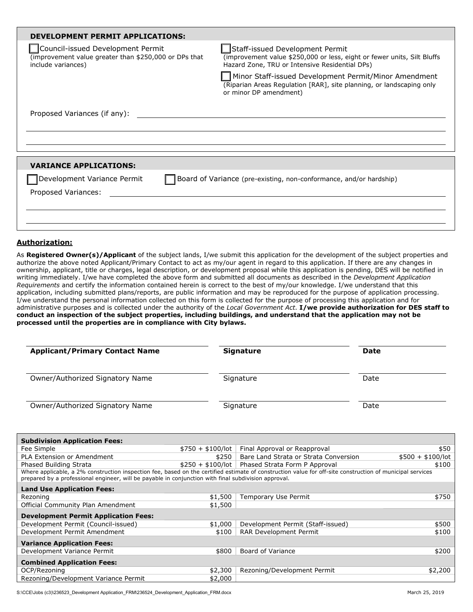| DEVELOPMENT PERMIT APPLICATIONS:                                                                                 |                                                                                                                                                                                                                                                                                                                         |
|------------------------------------------------------------------------------------------------------------------|-------------------------------------------------------------------------------------------------------------------------------------------------------------------------------------------------------------------------------------------------------------------------------------------------------------------------|
| Council-issued Development Permit<br>(improvement value greater than \$250,000 or DPs that<br>include variances) | Staff-issued Development Permit<br>(improvement value \$250,000 or less, eight or fewer units, Silt Bluffs<br>Hazard Zone, TRU or Intensive Residential DPs)<br>Minor Staff-issued Development Permit/Minor Amendment<br>(Riparian Areas Regulation [RAR], site planning, or landscaping only<br>or minor DP amendment) |
| Proposed Variances (if any):                                                                                     |                                                                                                                                                                                                                                                                                                                         |
| <b>VARIANCE APPLICATIONS:</b>                                                                                    |                                                                                                                                                                                                                                                                                                                         |
| Development Variance Permit<br>Proposed Variances:                                                               | Board of Variance (pre-existing, non-conformance, and/or hardship)                                                                                                                                                                                                                                                      |

#### **Authorization:**

As **Registered Owner(s)/Applicant** of the subject lands, I/we submit this application for the development of the subject properties and authorize the above noted Applicant/Primary Contact to act as my/our agent in regard to this application. If there are any changes in ownership, applicant, title or charges, legal description, or development proposal while this application is pending, DES will be notified in writing immediately. I/we have completed the above form and submitted all documents as described in the *Development Application Requirements* and certify the information contained herein is correct to the best of my/our knowledge. I/we understand that this application, including submitted plans/reports, are public information and may be reproduced for the purpose of application processing. I/we understand the personal information collected on this form is collected for the purpose of processing this application and for administrative purposes and is collected under the authority of the *Local Government Act*. **I/we provide authorization for DES staff to conduct an inspection of the subject properties, including buildings, and understand that the application may not be processed until the properties are in compliance with City bylaws.** 

| <b>Applicant/Primary Contact Name</b> | <b>Signature</b> | <b>Date</b> |
|---------------------------------------|------------------|-------------|
| Owner/Authorized Signatory Name       | Signature        | Date        |
| Owner/Authorized Signatory Name       | Signature        | Date        |

| <b>Subdivision Application Fees:</b>                                                                                                                                                                                                                              |                   |                                                 |                   |  |  |  |  |  |
|-------------------------------------------------------------------------------------------------------------------------------------------------------------------------------------------------------------------------------------------------------------------|-------------------|-------------------------------------------------|-------------------|--|--|--|--|--|
| Fee Simple                                                                                                                                                                                                                                                        | $$750 + $100/lot$ | Final Approval or Reapproval                    | \$50              |  |  |  |  |  |
| PLA Extension or Amendment                                                                                                                                                                                                                                        | \$250             | Bare Land Strata or Strata Conversion           | $$500 + $100/lot$ |  |  |  |  |  |
| Phased Building Strata                                                                                                                                                                                                                                            |                   | $$250 + $100/lot$ Phased Strata Form P Approval | \$100             |  |  |  |  |  |
| Where applicable, a 2% construction inspection fee, based on the certified estimate of construction value for off-site construction of municipal services<br>prepared by a professional engineer, will be payable in conjunction with final subdivision approval. |                   |                                                 |                   |  |  |  |  |  |
| <b>Land Use Application Fees:</b>                                                                                                                                                                                                                                 |                   |                                                 |                   |  |  |  |  |  |
| Rezoning                                                                                                                                                                                                                                                          | \$1,500           | Temporary Use Permit                            | \$750             |  |  |  |  |  |
| Official Community Plan Amendment                                                                                                                                                                                                                                 | \$1,500           |                                                 |                   |  |  |  |  |  |
| <b>Development Permit Application Fees:</b>                                                                                                                                                                                                                       |                   |                                                 |                   |  |  |  |  |  |
| Development Permit (Council-issued)                                                                                                                                                                                                                               | \$1,000           | Development Permit (Staff-issued)               | \$500             |  |  |  |  |  |
| Development Permit Amendment                                                                                                                                                                                                                                      | \$100             | RAR Development Permit                          | \$100             |  |  |  |  |  |
| <b>Variance Application Fees:</b>                                                                                                                                                                                                                                 |                   |                                                 |                   |  |  |  |  |  |
| Development Variance Permit                                                                                                                                                                                                                                       | \$800             | Board of Variance                               | \$200             |  |  |  |  |  |
| <b>Combined Application Fees:</b>                                                                                                                                                                                                                                 |                   |                                                 |                   |  |  |  |  |  |
| OCP/Rezoning                                                                                                                                                                                                                                                      | \$2,300           | Rezoning/Development Permit                     | \$2,200           |  |  |  |  |  |
| Rezoning/Development Variance Permit                                                                                                                                                                                                                              | \$2,000           |                                                 |                   |  |  |  |  |  |